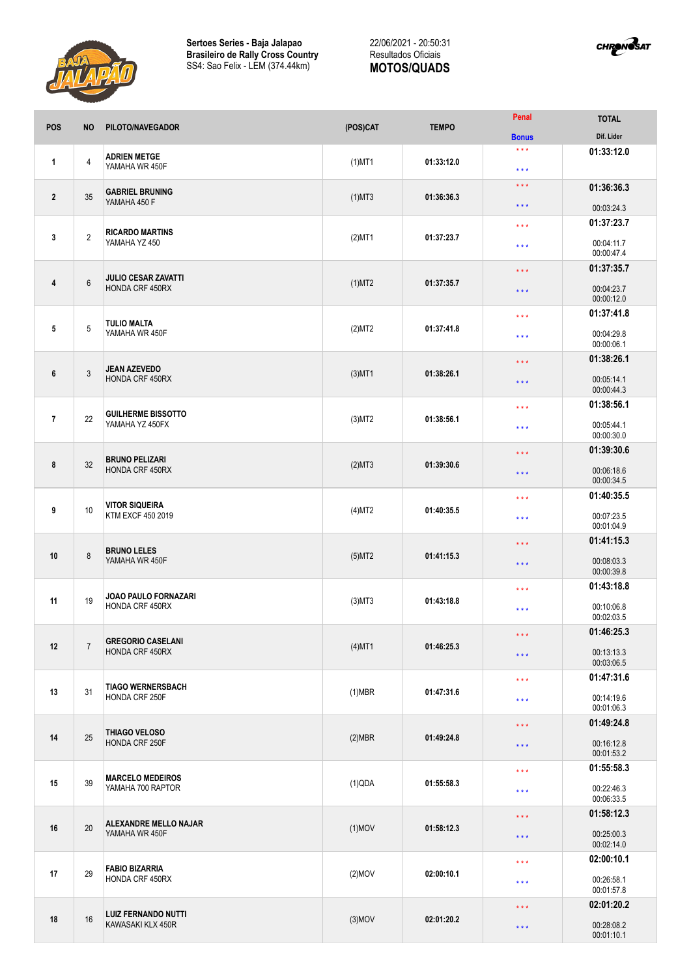



| <b>POS</b>     | <b>NO</b>      | PILOTO/NAVEGADOR                                     | (POS)CAT  | <b>TEMPO</b> | Penal                   | <b>TOTAL</b>             |
|----------------|----------------|------------------------------------------------------|-----------|--------------|-------------------------|--------------------------|
|                |                |                                                      |           |              | <b>Bonus</b>            | Dif. Lider               |
| $\mathbf{1}$   | $\overline{4}$ | <b>ADRIEN METGE</b><br>YAMAHA WR 450F                | $(1)$ MT1 | 01:33:12.0   | $***$<br>$***$          | 01:33:12.0               |
|                |                |                                                      |           |              | $***$                   | 01:36:36.3               |
| $\mathbf{2}$   | 35             | <b>GABRIEL BRUNING</b><br>YAMAHA 450 F               | $(1)$ MT3 | 01:36:36.3   | $***$                   | 00:03:24.3               |
|                |                | <b>RICARDO MARTINS</b><br>YAMAHA YZ 450              | $(2)$ MT1 | 01:37:23.7   | $***$                   | 01:37:23.7               |
| $\mathbf{3}$   | $\overline{2}$ |                                                      |           |              | $***$                   | 00:04:11.7<br>00:00:47.4 |
|                | $6\phantom{1}$ | <b>JULIO CESAR ZAVATTI</b><br><b>HONDA CRF 450RX</b> | $(1)$ MT2 | 01:37:35.7   | $\star\star\star$       | 01:37:35.7               |
| 4              |                |                                                      |           |              | $***$                   | 00:04:23.7<br>00:00:12.0 |
|                |                |                                                      |           |              | $***$                   | 01:37:41.8               |
| 5              | 5              | <b>TULIO MALTA</b><br>YAMAHA WR 450F                 | (2)MT2    | 01:37:41.8   | $\star\star\star$       | 00:04:29.8               |
|                |                |                                                      |           |              |                         | 00:00:06.1<br>01:38:26.1 |
| $\bf 6$        | $\mathbf{3}$   | <b>JEAN AZEVEDO</b><br><b>HONDA CRF 450RX</b>        | $(3)$ MT1 | 01:38:26.1   | $\star\star\star$       |                          |
|                |                |                                                      |           |              | $***$                   | 00:05:14.1<br>00:00:44.3 |
|                |                | <b>GUILHERME BISSOTTO</b><br>YAMAHA YZ 450FX         |           |              | $***$                   | 01:38:56.1               |
| $\overline{1}$ | 22             |                                                      | $(3)$ MT2 | 01:38:56.1   | $***$                   | 00:05:44.1               |
|                |                |                                                      |           |              |                         | 00:00:30.0               |
|                | 32             | <b>BRUNO PELIZARI</b><br>HONDA CRF 450RX             | (2)MT3    |              | $\star\star\star$       | 01:39:30.6               |
| 8              |                |                                                      |           | 01:39:30.6   | $***$                   | 00:06:18.6<br>00:00:34.5 |
|                | 10             | <b>VITOR SIQUEIRA</b><br>KTM EXCF 450 2019           | $(4)$ MT2 | 01:40:35.5   | $\star\star\star$       | 01:40:35.5               |
| 9              |                |                                                      |           |              | $***$                   | 00:07:23.5<br>00:01:04.9 |
|                | 8              | <b>BRUNO LELES</b><br>YAMAHA WR 450F                 | $(5)$ MT2 | 01:41:15.3   | $***$                   | 01:41:15.3               |
| 10             |                |                                                      |           |              |                         | 00:08:03.3               |
|                |                |                                                      |           |              | $***$                   | 00:00:39.8               |
|                | 19             | JOAO PAULO FORNAZARI<br>HONDA CRF 450RX              | $(3)$ MT3 | 01:43:18.8   | $***$                   | 01:43:18.8               |
| 11             |                |                                                      |           |              | $***$                   | 00:10:06.8               |
|                |                |                                                      |           |              |                         | 00:02:03.5               |
|                | $\overline{7}$ | <b>GREGORIO CASELANI</b><br>HONDA CRF 450RX          | $(4)$ MT1 | 01:46:25.3   | $***$                   | 01:46:25.3               |
| 12             |                |                                                      |           |              | $***$                   | 00:13:13.3               |
|                |                |                                                      |           |              |                         | 00:03:06.5               |
| 13             | 31             | <b>TIAGO WERNERSBACH</b><br>HONDA CRF 250F           | $(1)$ MBR | 01:47:31.6   | $\star\star\star$       | 01:47:31.6               |
|                |                |                                                      |           |              | $***$                   | 00:14:19.6<br>00:01:06.3 |
|                |                |                                                      |           |              | $\star\star\star$       | 01:49:24.8               |
| 14             | 25             | THIAGO VELOSO<br>HONDA CRF 250F                      | $(2)$ MBR | 01:49:24.8   |                         | 00:16:12.8               |
|                |                |                                                      |           |              | $***$                   | 00:01:53.2               |
|                | 39             | <b>MARCELO MEDEIROS</b><br>YAMAHA 700 RAPTOR         | (1)QDA    | 01:55:58.3   | $***$                   | 01:55:58.3               |
| 15             |                |                                                      |           |              | $***$                   | 00:22:46.3               |
|                |                |                                                      |           |              |                         | 00:06:33.5               |
| 16             | 20             | <b>ALEXANDRE MELLO NAJAR</b><br>YAMAHA WR 450F       | $(1)$ MOV | 01:58:12.3   | $***$                   | 01:58:12.3               |
|                |                |                                                      |           |              | $***$                   | 00:25:00.3<br>00:02:14.0 |
| 17             | 29             | <b>FABIO BIZARRIA</b><br>HONDA CRF 450RX             | $(2)$ MOV | 02:00:10.1   | $***$                   | 02:00:10.1               |
|                |                |                                                      |           |              | $***$                   | 00:26:58.1               |
|                |                |                                                      |           |              |                         | 00:01:57.8               |
| 18             | 16             | <b>LUIZ FERNANDO NUTTI</b><br>KAWASAKI KLX 450R      | $(3)$ MOV | 02:01:20.2   | $***$                   | 02:01:20.2               |
|                |                |                                                      |           |              | $\star$ $\star$ $\star$ | 00:28:08.2<br>00:01:10.1 |